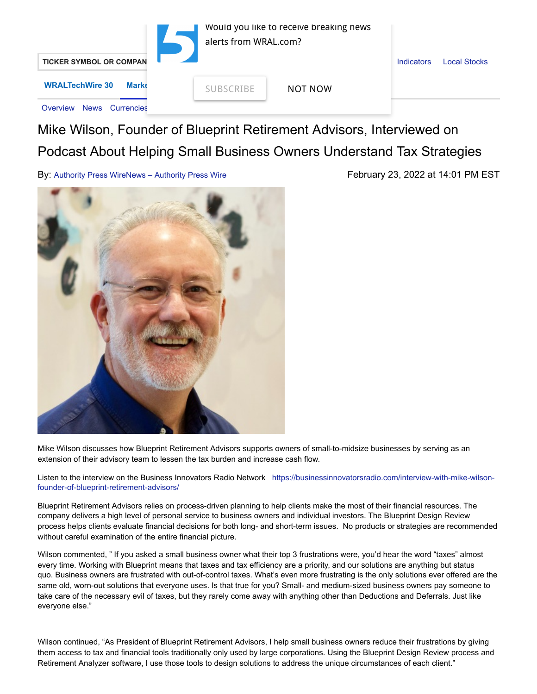

## Mike Wilson, Founder of Blueprint Retirement Advisors, Interviewed on Podcast About Helping Small Business Owners Understand Tax Strategies

By: [Authority Press WireNews – Authority Press Wire](https://markets.financialcontent.com/wral/news/channelinfo?ChannelID=6957) February 23, 2022 at 14:01 PM EST



Mike Wilson discusses how Blueprint Retirement Advisors supports owners of small-to-midsize businesses by serving as an extension of their advisory team to lessen the tax burden and increase cash flow.

[Listen to the interview on the Business Innovators Radio Network](https://businessinnovatorsradio.com/interview-with-mike-wilson-founder-of-blueprint-retirement-advisors/) https://businessinnovatorsradio.com/interview-with-mike-wilsonfounder-of-blueprint-retirement-advisors/

Blueprint Retirement Advisors relies on process-driven planning to help clients make the most of their financial resources. The company delivers a high level of personal service to business owners and individual investors. The Blueprint Design Review process helps clients evaluate financial decisions for both long- and short-term issues. No products or strategies are recommended without careful examination of the entire financial picture.

Wilson commented, " If you asked a small business owner what their top 3 frustrations were, you'd hear the word "taxes" almost every time. Working with Blueprint means that taxes and tax efficiency are a priority, and our solutions are anything but status quo. Business owners are frustrated with out-of-control taxes. What's even more frustrating is the only solutions ever offered are the same old, worn-out solutions that everyone uses. Is that true for you? Small- and medium-sized business owners pay someone to take care of the necessary evil of taxes, but they rarely come away with anything other than Deductions and Deferrals. Just like everyone else."

Wilson continued, "As President of Blueprint Retirement Advisors, I help small business owners reduce their frustrations by giving them access to tax and financial tools traditionally only used by large corporations. Using the Blueprint Design Review process and Retirement Analyzer software, I use those tools to design solutions to address the unique circumstances of each client."